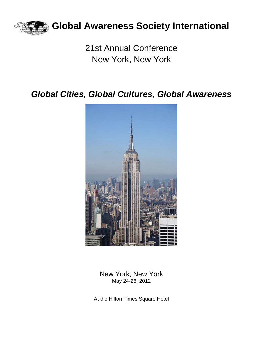

## **Global Awareness Society International**

21st Annual Conference New York, New York

## *Global Cities, Global Cultures, Global Awareness*



New York, New York May 24-26, 2012

At the Hilton Times Square Hotel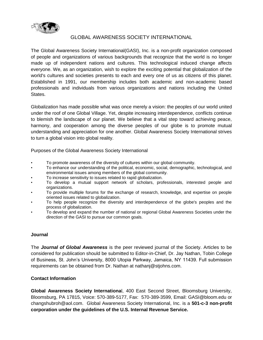

## GLOBAL AWARENESS SOCIETY INTERNATIONAL

The Global Awareness Society International(GASI), Inc. is a non-profit organization composed of people and organizations of various backgrounds that recognize that the world is no longer made up of independent nations and cultures. This technological induced change affects everyone. We, as an organization, wish to explore the exciting potential that globalization of the world's cultures and societies presents to each and every one of us as citizens of this planet. Established in 1991, our membership includes both academic and non-academic based professionals and individuals from various organizations and nations including the United States.

Globalization has made possible what was once merely a vision: the peoples of our world united under the roof of one Global Village. Yet, despite increasing interdependence, conflicts continue to blemish the landscape of our planet. We believe that a vital step toward achieving peace, harmony, and cooperation among the diverse peoples of our globe is to promote mutual understanding and appreciation for one another. Global Awareness Society International strives to turn a global vision into global reality.

Purposes of the Global Awareness Society International

- To promote awareness of the diversity of cultures within our global community.
- To enhance our understanding of the political, economic, social, demographic, technological, and environmental issues among members of the global community.
- To increase sensitivity to issues related to rapid globalization.
- To develop a mutual support network of scholars, professionals, interested people and organizations.
- To provide multiple forums for the exchange of research, knowledge, and expertise on people oriented issues related to globalization.
- To help people recognize the diversity and interdependence of the globe's peoples and the process of globalization.
- To develop and expand the number of national or regional Global Awareness Societies under the direction of the GASI to pursue our common goals.

## **Journal**

The *Journal of Global Awareness* is the peer reviewed journal of the Society. Articles to be considered for publication should be submitted to Editor-in-Chief, Dr. Jay Nathan, Tobin College of Business, St. John's University, 8000 Utopia Parkway, Jamaica, NY 11439. Full submission requirements can be obtained from Dr. Nathan at nathanj@stjohns.com.

## **Contact Information**

**Global Awareness Society Internationa**l, 400 East Second Street, Bloomsburg University, Bloomsburg, PA 17815, Voice: 570-389-5177, Fax: 570-389-3599, Email: GASI@bloom.edu or changshubroh@aol.com. Global Awareness Society International, Inc. is a **501-c-3 non-profit corporation under the guidelines of the U.S. Internal Revenue Service.**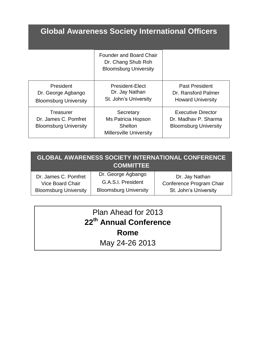# **Global Awareness Society International Officers**

|                                                                   | <b>Founder and Board Chair</b><br>Dr. Chang Shub Roh<br><b>Bloomsburg University</b> |                                                                                   |
|-------------------------------------------------------------------|--------------------------------------------------------------------------------------|-----------------------------------------------------------------------------------|
| President<br>Dr. George Agbango<br><b>Bloomsburg University</b>   | <b>President-Elect</b><br>Dr. Jay Nathan<br>St. John's University                    | <b>Past President</b><br>Dr. Ransford Palmer<br><b>Howard University</b>          |
| Treasurer<br>Dr. James C. Pomfret<br><b>Bloomsburg University</b> | Secretary<br>Ms Patricia Hopson<br><b>Shelton</b><br><b>Millersville University</b>  | <b>Executive Director</b><br>Dr. Madhav P. Sharma<br><b>Bloomsburg University</b> |

| <b>GLOBAL AWARENESS SOCIETY INTERNATIONAL CONFERENCE</b><br><b>COMMITTEE</b> |                                          |                                            |  |
|------------------------------------------------------------------------------|------------------------------------------|--------------------------------------------|--|
| Dr. James C. Pomfret<br>Vice Board Chair                                     | Dr. George Agbango<br>G.A.S.I. President | Dr. Jay Nathan<br>Conference Program Chair |  |
| <b>Bloomsburg University</b>                                                 | <b>Bloomsburg University</b>             | St. John's University                      |  |

| Plan Ahead for 2013                |  |  |
|------------------------------------|--|--|
| 22 <sup>th</sup> Annual Conference |  |  |
| Rome                               |  |  |
| May 24-26 2013                     |  |  |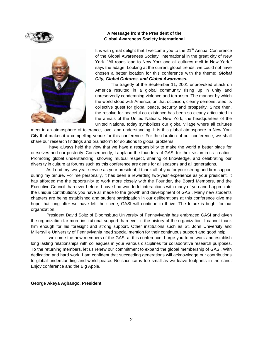



## **A Message from the President of the Global Awareness Society International**

It is with great delight that I welcome you to the  $21<sup>st</sup>$  Annual Conference of the Global Awareness Society, International in the great city of New York. "All roads lead to New York and all cultures melt in New York," says the adage. Looking at the current global trends, we could not have chosen a better location for this conference with the theme: *Global City, Global Cultures, and Global Awareness.*

The tragedy of the September 11, 2001 unprovoked attack on America resulted in a global community rising up in unity and unreservedly condemning violence and terrorism. The manner by which the world stood with America, on that occasion, clearly demonstrated its collective quest for global peace, security and prosperity. Since then, the resolve for peaceful co-existence has been so clearly articulated in the annals of the United Nations. New York, the headquarters of the United Nations, today symbolizes our global village where all cultures

meet in an atmosphere of tolerance, love, and understanding. It is this global atmosphere in New York City that makes it a compelling venue for this conference. For the duration of our conference, we shall share our research findings and brainstorm for solutions to global problems.

I have always held the view that we have a responsibility to make the world a better place for ourselves and our posterity. Consequently, I applaud the founders of GASI for their vision in its creation. Promoting global understanding, showing mutual respect, sharing of knowledge, and celebrating our diversity in culture at forums such as this conference are gems for all seasons and all generations.

As I end my two-year service as your president, I thank all of you for your strong and firm support during my tenure. For me personally, it has been a rewarding two-year experience as your president. It has afforded me the opportunity to work more closely with the Founder, the Board Members, and the Executive Council than ever before. I have had wonderful interactions with many of you and I appreciate the unique contributions you have all made to the growth and development of GASI. Many new students chapters are being established and student participation in our deliberations at this conference give me hope that long after we have left the scene, GASI will continue to thrive. The future is bright for our organization.

President David Soltz of Bloomsburg University of Pennsylvania has embraced GASI and given the organization far more institutional support than ever in the history of the organization. I cannot thank him enough for his foresight and strong support. Other institutions such as St. John University and Millersville University of Pennsylvania need special mention for their continuous support and good help

I welcome the new members of the GASI at this conference. I urge you to network and establish long lasting relationships with colleagues in your various disciplines for collaborative research purposes. To the returning members, let us renew our commitment to expand the global membership of GASI. With dedication and hard work, I am confident that succeeding generations will acknowledge our contributions to global understanding and world peace. No sacrifice is too small as we leave footprints in the sand. Enjoy conference and the Big Apple.

## **George Akeya Agbango, President**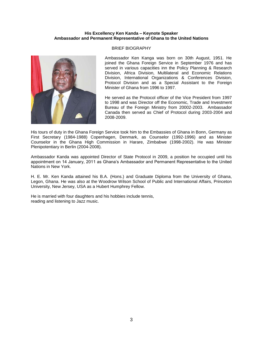## **His Excellency Ken Kanda – Keynote Speaker Ambassador and Permanent Representative of Ghana to the United Nations**



## BRIEF BIOGRAPHY

Ambassador Ken Kanga was born on 30th August, 1951. He joined the Ghana Foreign Service in September 1976 and has served in various capacities inn the Policy Planning & Research Division, Africa Division, Multilateral and Economic Relations Division, International Organizations & Conferences Division, Protocol Division and as a Special Assistant to the Foreign Minister of Ghana from 1996 to 1997.

He served as the Protocol officer of the Vice President from 1997 to 1998 and was Director off the Economic, Trade and Investment Bureau of the Foreign Ministry from 20002-2003. Ambassador Canada then served as Chief of Protocol during 2003-2004 and 2008-2009.

His tours of duty in the Ghana Foreign Service took him to the Embassies of Ghana in Bonn, Germany as First Secretary (1984-1988) Copenhagen, Denmark, as Counselor (1992-1996) and as Minister Counselor in the Ghana High Commission in Harare, Zimbabwe (1998-2002). He was Minister Plenipotentiary in Berlin (2004-2008).

Ambassador Kanda was appointed Director of State Protocol in 2009, a position he occupied until his appointment on 14 January, 2011 as Ghana's Ambassador and Permanent Representative to the United Nations in New York.

H. E. Mr. Ken Kanda attained his B.A. (Hons.) and Graduate Diploma from the University of Ghana, Legon, Ghana. He was also at the Woodrow Wilson School of Public and International Affairs, Princeton University, New Jersey, USA as a Hubert Humphrey Fellow.

He is married with four daughters and his hobbies include tennis, reading and listening to Jazz music.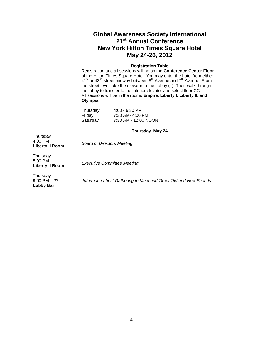## **Global Awareness Society International 21st Annual Conference New York Hilton Times Square Hotel May 24-26, 2012**

## **Registration Table**

Registration and all sessions will be on the **Conference Center Floor** of the Hilton Times Square Hotel. You may enter the hotel from either 41<sup>st</sup> or 42<sup>nd</sup> street midway between 8<sup>th</sup> Avenue and 7<sup>th</sup> Avenue. From the street level take the elevator to the Lobby (L). Then walk through the lobby to transfer to the interior elevator and select floor CC. All sessions will be in the rooms **Empire**, **Liberty I, Liberty II, and Olympia.**

| Thursday | $4:00 - 6:30$ PM     |
|----------|----------------------|
| Fridav   | 7:30 AM- 4:00 PM     |
| Saturday | 7:30 AM - 12:00 NOON |

## **Thursday May 24**

Thursday 4:00 PM

**Liberty II Room** *Board of Directors Meeting*

**Thursday** 5:00 PM

**Liberty II Room** *Executive Committee Meeting*

Thursday 9:00 PM – ?? **Lobby Bar**

*Informal no-host Gathering to Meet and Greet Old and New Friends*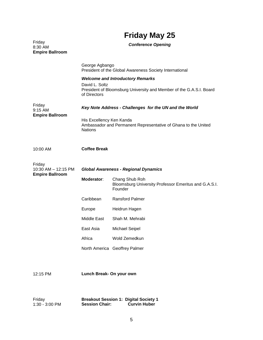## **Friday May 25**

|                                             | I HUUY MUY LU                                                                                                                                    |                                                                                    |  |
|---------------------------------------------|--------------------------------------------------------------------------------------------------------------------------------------------------|------------------------------------------------------------------------------------|--|
| Friday<br>8:30 AM<br><b>Empire Ballroom</b> | <b>Conference Opening</b>                                                                                                                        |                                                                                    |  |
|                                             | George Agbango<br>President of the Global Awareness Society International                                                                        |                                                                                    |  |
|                                             | <b>Welcome and Introductory Remarks</b><br>David L. Soltz<br>President of Bloomsburg University and Member of the G.A.S.I. Board<br>of Directors |                                                                                    |  |
| Friday<br>9:15 AM                           | Key Note Address - Challenges for the UN and the World                                                                                           |                                                                                    |  |
| <b>Empire Ballroom</b>                      | His Excellency Ken Kanda<br>Ambassador and Permanent Representative of Ghana to the United<br><b>Nations</b>                                     |                                                                                    |  |
| 10:00 AM                                    | <b>Coffee Break</b>                                                                                                                              |                                                                                    |  |
| Friday<br>10:30 AM - 12:15 PM               | <b>Global Awareness - Regional Dynamics</b>                                                                                                      |                                                                                    |  |
| <b>Empire Ballroom</b>                      | Moderator:                                                                                                                                       | Chang Shub Roh<br>Bloomsburg University Professor Emeritus and G.A.S.I.<br>Founder |  |
|                                             | Caribbean                                                                                                                                        | <b>Ransford Palmer</b>                                                             |  |
|                                             | Europe                                                                                                                                           | Heidrun Hagen                                                                      |  |
|                                             | Middle East                                                                                                                                      | Shah M. Mehrabi                                                                    |  |
|                                             | East Asia                                                                                                                                        | <b>Michael Seipel</b>                                                              |  |
|                                             | Africa                                                                                                                                           | Wold Zemedkun                                                                      |  |
|                                             |                                                                                                                                                  | North America Geoffrey Palmer                                                      |  |
| 12:15 PM                                    | Lunch Break- On your own                                                                                                                         |                                                                                    |  |

| Friday         | <b>Breakout Session 1: Digital Society 1</b> |                     |
|----------------|----------------------------------------------|---------------------|
| 1:30 - 3:00 PM | <b>Session Chair:</b>                        | <b>Curvin Huber</b> |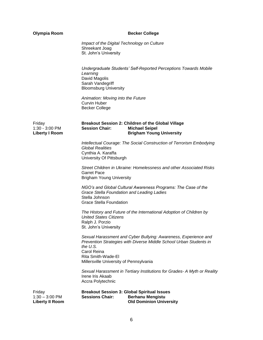| <b>Olympia Room</b>                                  | <b>Becker College</b>                                                                                                                                                                  |
|------------------------------------------------------|----------------------------------------------------------------------------------------------------------------------------------------------------------------------------------------|
|                                                      | Impact of the Digital Technology on Culture<br>Shreekant Joag<br>St. John's University                                                                                                 |
|                                                      | Undergraduate Students' Self-Reported Perceptions Towards Mobile<br>Learning<br>David Magolis<br>Sarah Vandegriff<br><b>Bloomsburg University</b>                                      |
|                                                      | Animation: Moving into the Future<br><b>Curvin Huber</b><br><b>Becker College</b>                                                                                                      |
| Friday<br>1:30 - 3:00 PM<br><b>Liberty I Room</b>    | Breakout Session 2: Children of the Global Village<br><b>Session Chair:</b><br><b>Michael Seipel</b><br><b>Brigham Young University</b>                                                |
|                                                      | Intellectual Courage: The Social Construction of Terrorism Embodying<br><b>Global Realities</b><br>Cynthia A. Karaffa<br>University Of Pittsburgh                                      |
|                                                      | Street Children in Ukraine: Homelessness and other Associated Risks<br><b>Garret Pace</b><br><b>Brigham Young University</b>                                                           |
|                                                      | NGO's and Global Cultural Awareness Programs: The Case of the<br>Grace Stella Foundation and Leading Ladies<br>Stella Johnson<br><b>Grace Stella Foundation</b>                        |
|                                                      | The History and Future of the International Adoption of Children by<br><b>United States Citizens</b><br>Ralph J. Porzio<br>St. John's University                                       |
|                                                      | Sexual Harassment and Cyber Bullying: Awareness, Experience and<br>Prevention Strategies with Diverse Middle School Urban Students in<br>the U.S.<br>Carol Reina<br>Rita Smith-Wade-El |
|                                                      | Millersville University of Pennsylvania                                                                                                                                                |
|                                                      | Sexual Harassment in Tertiary Institutions for Grades- A Myth or Reality<br>Irene Iris Akaab<br>Accra Polytechnic                                                                      |
| Friday<br>$1:30 - 3:00$ PM<br><b>Liberty II Room</b> | <b>Breakout Session 3: Global Spiritual Issues</b><br><b>Sessions Chair:</b><br><b>Berhanu Mengistu</b><br><b>Old Dominion University</b>                                              |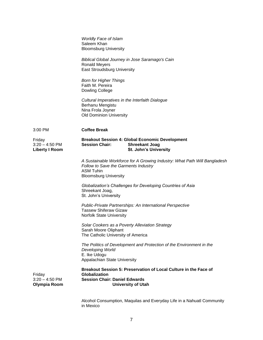|                                                     | <b>Worldly Face of Islam</b><br>Saleem Khan<br><b>Bloomsburg University</b><br>Biblical Global Journey in Jose Saramago's Cain<br><b>Ronald Meyers</b><br><b>East Stroudsburg University</b><br><b>Born for Higher Things</b><br>Faith M. Pereira<br><b>Dowling College</b><br>Cultural Imperatives in the Interfaith Dialogue<br>Berhanu Mengistu<br>Nina Frola Joyner<br><b>Old Dominion University</b> |
|-----------------------------------------------------|-----------------------------------------------------------------------------------------------------------------------------------------------------------------------------------------------------------------------------------------------------------------------------------------------------------------------------------------------------------------------------------------------------------|
| 3:00 PM                                             | <b>Coffee Break</b>                                                                                                                                                                                                                                                                                                                                                                                       |
| Friday<br>$3:20 - 4:50$ PM<br><b>Liberty I Room</b> | <b>Breakout Session 4: Global Economic Development</b><br><b>Session Chair:</b><br><b>Shreekant Joag</b><br>St. John's University                                                                                                                                                                                                                                                                         |
|                                                     | A Sustainable Workforce for A Growing Industry: What Path Will Bangladesh<br>Follow to Save the Garments Industry<br><b>ASM Tuhin</b><br><b>Bloomsburg University</b>                                                                                                                                                                                                                                     |
|                                                     | Globalization's Challenges for Developing Countries of Asia<br>Shreekant Joag,<br>St. John's University                                                                                                                                                                                                                                                                                                   |
|                                                     | Public-Private Partnerships: An International Perspective<br><b>Tassew Shiferaw Gizaw</b><br>Norfolk State University                                                                                                                                                                                                                                                                                     |
|                                                     | Solar Cookers as a Poverty Alleviation Strategy<br>Sarah Moore Oliphant<br>The Catholic University of America                                                                                                                                                                                                                                                                                             |
|                                                     | The Politics of Development and Protection of the Environment in the<br>Developing World<br>E. Ike Udogu<br>Appalachian State University                                                                                                                                                                                                                                                                  |
| Friday<br>$3:20 - 4:50$ PM<br>Olympia Room          | Breakout Session 5: Preservation of Local Culture in the Face of<br><b>Globalization</b><br><b>Session Chair: Daniel Edwards</b><br><b>University of Utah</b>                                                                                                                                                                                                                                             |

Alcohol Consumption, Maquilas and Everyday Life in a Nahuatl Community in Mexico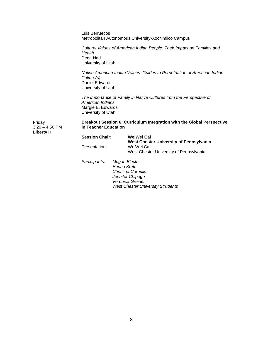|                                          | Luis Berruecos                                                                                                                     |                            | Metropolitan Autonomous University-Xochimilco Campus                                                          |
|------------------------------------------|------------------------------------------------------------------------------------------------------------------------------------|----------------------------|---------------------------------------------------------------------------------------------------------------|
|                                          | Health<br>Dena Ned<br>University of Utah                                                                                           |                            | Cultural Values of American Indian People: Their Impact on Families and                                       |
|                                          | Native American Indian Values: Guides to Perpetuation of American Indian<br>Culture(s)<br>Daniel Edwards<br>University of Utah     |                            |                                                                                                               |
|                                          | The Importance of Family in Native Cultures from the Perspective of<br>American Indians<br>Margie E. Edwards<br>University of Utah |                            |                                                                                                               |
| Friday<br>$3:20 - 4:50$ PM<br>Liberty II | in Teacher Education                                                                                                               |                            | Breakout Session 6: Curriculum Integration with the Global Perspective                                        |
|                                          | <b>Session Chair:</b>                                                                                                              |                            | WeiWei Cai<br>West Chester University of Pennsylvania                                                         |
|                                          | Presentation:                                                                                                                      |                            | WeiWei Cai<br>West Chester University of Pennsylvania                                                         |
|                                          | Participants:                                                                                                                      | Megan Black<br>Hanna Kraft | <b>Christina Caroulis</b><br>Jennifer Chipego<br>Veronica Greiner<br><b>West Chester University Strudents</b> |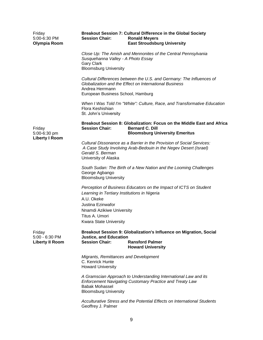| Friday<br>5:00-6:30 PM<br>Olympia Room             | <b>Breakout Session 7: Cultural Difference in the Global Society</b><br><b>Session Chair:</b><br><b>Ronald Meyers</b><br><b>East Stroudsburg University</b>                                                                          |
|----------------------------------------------------|--------------------------------------------------------------------------------------------------------------------------------------------------------------------------------------------------------------------------------------|
|                                                    | Close Up: The Amish and Mennonites of the Central Pennsylvania<br>Susquehanna Valley - A Photo Essay<br><b>Gary Clark</b><br><b>Bloomsburg University</b>                                                                            |
|                                                    | Cultural Differences between the U.S. and Germany: The Influences of<br>Globalization and the Effect on International Business<br>Andrea Herrmann<br>European Business School, Hamburg                                               |
|                                                    | When I Was Told I'm "White": Culture, Race, and Transformative Education<br>Flora Keshishian<br>St. John's University                                                                                                                |
| Friday<br>5:00-6:30 pm                             | Breakout Session 8: Globalization: Focus on the Middle East and Africa<br><b>Bernard C. Dill</b><br><b>Session Chair:</b><br><b>Bloomsburg University Emeritus</b>                                                                   |
| <b>Liberty I Room</b>                              | Cultural Dissonance as a Barrier in the Provision of Social Services:<br>A Case Study Involving Arab-Bedouin in the Negev Desert (Israel)<br>Gerald S. Berman<br>University of Alaska                                                |
|                                                    | South Sudan: The Birth of a New Nation and the Looming Challenges<br>George Agbango<br><b>Bloomsburg University</b>                                                                                                                  |
|                                                    | Perception of Business Educators on the Impact of ICTS on Student<br>Learning in Tertiary Institutions in Nigeria<br>A.U. Okeke<br>Justina Ezinwafor<br>Nnamdi Azikiwe University<br>Titus A. Umori<br><b>Kwara State University</b> |
| Friday<br>5:00 - 6:30 PM<br><b>Liberty II Room</b> | Breakout Session 9: Globalization's Influence on Migration, Social<br><b>Justice, and Education</b><br><b>Session Chair:</b><br><b>Ransford Palmer</b><br><b>Howard University</b>                                                   |
|                                                    | Migrants, Remittances and Development<br>C. Kenrick Hunte<br><b>Howard University</b>                                                                                                                                                |
|                                                    | A Gramscian Approach to Understanding International Law and its<br>Enforcement Navigating Customary Practice and Treaty Law<br><b>Babak Mohassel</b><br><b>Bloomsburg University</b>                                                 |
|                                                    | Acculturative Stress and the Potential Effects on International Students<br>Geoffrey J. Palmer                                                                                                                                       |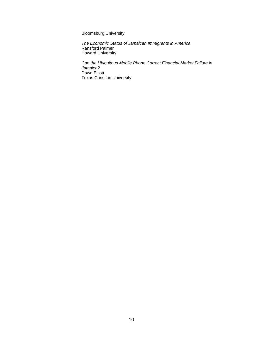Bloomsburg University

*The Economic Status of Jamaican Immigrants in America* Ransford Palmer Howard University

*Can the Ubiquitous Mobile Phone Correct Financial Market Failure in Jamaica?* Dawn Elliott Texas Christian University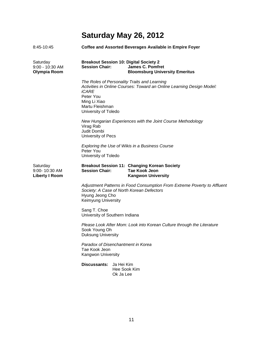## **Saturday May 26, 2012**

| 8:45-10:45                                         |                                                                               | <b>Coffee and Assorted Beverages Available in Empire Foyer</b>                                                        |
|----------------------------------------------------|-------------------------------------------------------------------------------|-----------------------------------------------------------------------------------------------------------------------|
| Saturday<br>9:00 - 10:30 AM<br>Olympia Room        | <b>Session Chair:</b>                                                         | <b>Breakout Session 10: Digital Society 2</b><br><b>James C. Pomfret</b><br><b>Bloomsburg University Emeritus</b>     |
|                                                    | iCARE<br>Peter You<br>Ming Li Xiao<br>Martu Fleishman<br>University of Toledo | The Roles of Personality Traits and Learning<br>Activities in Online Courses: Toward an Online Learning Design Model: |
|                                                    | Virag Rab<br>Judit Dombi<br>University of Pecs                                | New Hungarian Experiences with the Joint Course Methodology                                                           |
|                                                    | Peter You<br>University of Toledo                                             | Exploring the Use of Wikis in a Business Course                                                                       |
| Saturday<br>9:00-10:30 AM<br><b>Liberty I Room</b> | <b>Session Chair:</b>                                                         | <b>Breakout Session 11: Changing Korean Society</b><br><b>Tae Kook Jeon</b><br><b>Kangwon University</b>              |
|                                                    | Hyung Jeong Cho<br>Keimyung University                                        | Adjustment Patterns in Food Consumption From Extreme Poverty to Affluent<br>Society: A Case of North Korean Defectors |
|                                                    | Sang T. Choe<br>University of Southern Indiana                                |                                                                                                                       |
|                                                    | Sook Young Oh<br>Duksung University                                           | Please Look After Mom: Look into Korean Culture through the Literature                                                |
|                                                    | Paradox of Disenchantment in Korea<br>Tae Kook Jeon<br>Kangwon University     |                                                                                                                       |
|                                                    | Discussants: Ja Hei Kim                                                       | Hee Sook Kim<br>Ok Ja Lee                                                                                             |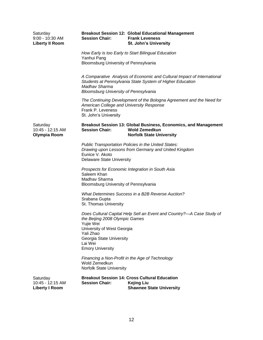| Saturday<br>9:00 - 10:30 AM<br><b>Liberty II Room</b> | <b>Session Chair:</b>                                                                                                                                    | <b>Breakout Session 12: Global Educational Management</b><br><b>Frank Leveness</b><br><b>St. John's University</b>                   |
|-------------------------------------------------------|----------------------------------------------------------------------------------------------------------------------------------------------------------|--------------------------------------------------------------------------------------------------------------------------------------|
|                                                       | Yanhui Pang<br>Bloomsburg University of Pennsylvania                                                                                                     | How Early is too Early to Start Bilingual Education                                                                                  |
|                                                       | Madhay Sharma<br><b>Bloomsburg University of Pennsylvania</b>                                                                                            | A Comparative Analysis of Economic and Cultural Impact of International<br>Students at Pennsylvania State System of Higher Education |
|                                                       | American College and University Response<br>Frank P. Leveness<br>St. John's University                                                                   | The Continuing Development of the Bologna Agreement and the Need for                                                                 |
| Saturday<br>10:45 - 12:15 AM<br>Olympia Room          | <b>Session Chair:</b>                                                                                                                                    | Breakout Session 13: Global Business, Economics, and Management<br><b>Wold Zemedkun</b><br><b>Norfolk State University</b>           |
|                                                       | Eunice V. Akoto<br><b>Delaware State University</b>                                                                                                      | Public Transportation Policies in the United States:<br>Drawing upon Lessons from Germany and United Kingdom                         |
|                                                       | Saleem Khan<br>Madhav Sharma<br>Bloomsburg University of Pennsylvania                                                                                    | Prospects for Economic Integration in South Asia                                                                                     |
|                                                       | Srabana Gupta<br>St. Thomas University                                                                                                                   | What Determines Success in a B2B Reverse Auction?                                                                                    |
|                                                       | the Beijing 2008 Olympic Games<br>Yujie Wei<br>University of West Georgia<br>Yali Zhao<br>Georgia State University<br>Lai Wei<br><b>Emory University</b> | Does Cultural Capital Help Sell an Event and Country?-A Case Study of                                                                |
|                                                       | Wold Zemedkun<br><b>Norfolk State University</b>                                                                                                         | Financing a Non-Profit in the Age of Technology                                                                                      |
| Saturday<br>10:45 - 12:15 AM<br><b>Liberty I Room</b> | <b>Session Chair:</b>                                                                                                                                    | <b>Breakout Session 14: Cross Cultural Education</b><br><b>Kejing Liu</b><br><b>Shawnee State University</b>                         |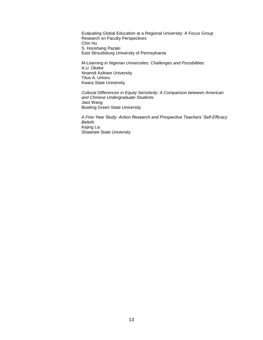Evaluating Global Education at a Regional University: A Focus Group Research on Faculty Perspectives Chin Hu S. Hooshang Pazaki East Stroudsburg University of Pennsylvania

*M-Learning in Nigerian Universities: Challenges and Possibilities* A.U. Okeke Nnamdi Azikiwe University Titus A. Umoru Kwara State University

*Cultural Differences in Equity Sensitivity: A Comparison between American and Chinese Undergraduate Students* Jiaxi Wang Bowling Green State University

*A Five-Year Study: Action Research and Prospective Teachers' Self-Efficacy Beliefs* Kejing Liu Shawnee State University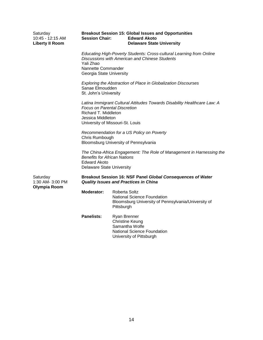| Saturday<br>10:45 - 12:15 AM<br><b>Liberty II Room</b> | <b>Session Chair:</b>                                                                                       | <b>Breakout Session 15: Global Issues and Opportunities</b><br><b>Edward Akoto</b><br><b>Delaware State University</b>                                                                           |  |  |  |
|--------------------------------------------------------|-------------------------------------------------------------------------------------------------------------|--------------------------------------------------------------------------------------------------------------------------------------------------------------------------------------------------|--|--|--|
|                                                        | Yali Zhao                                                                                                   | Educating High-Poverty Students: Cross-cultural Learning from Online<br><b>Discussions with American and Chinese Students</b><br>Nannette Commander<br>Georgia State University                  |  |  |  |
|                                                        |                                                                                                             | Exploring the Abstraction of Place in Globalization Discourses<br>Sanae Elmoudden<br>St. John's University                                                                                       |  |  |  |
|                                                        |                                                                                                             | Latina Immigrant Cultural Attitudes Towards Disability Healthcare Law: A<br><b>Focus on Parental Discretion</b><br>Richard T. Middleton<br>Jessica Middleton<br>University of Missouri-St. Louis |  |  |  |
|                                                        | Recommendation for a US Policy on Poverty<br>Chris Rumbough<br>Bloomsburg University of Pennsylvania        |                                                                                                                                                                                                  |  |  |  |
|                                                        |                                                                                                             | The China-Africa Engagement: The Role of Management in Harnessing the<br><b>Benefits for African Nations</b><br><b>Edward Akoto</b><br><b>Delaware State University</b>                          |  |  |  |
| Saturday<br>1:30 AM- 3:00 PM<br>Olympia Room           | Breakout Session 16: NSF Panel Global Consequences of Water<br><b>Quality Issues and Practices in China</b> |                                                                                                                                                                                                  |  |  |  |
|                                                        | Moderator:                                                                                                  | Roberta Soltz<br><b>National Science Foundation</b><br>Bloomsburg University of Pennsylvania/University of<br>Pittsburgh                                                                         |  |  |  |
|                                                        | <b>Panelists:</b>                                                                                           | Ryan Brenner<br><b>Christine Keung</b><br>Samantha Wolfe<br><b>National Science Foundation</b><br>University of Pittsburgh                                                                       |  |  |  |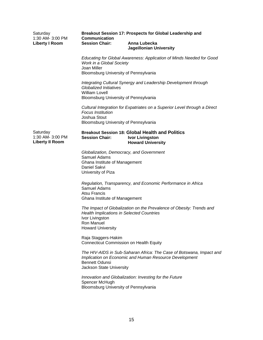| Saturday<br>1:30 AM- 3:00 PM                           | Breakout Session 17: Prospects for Global Leadership and<br><b>Communication</b>                                                                            |                                                                                                                                |  |  |  |
|--------------------------------------------------------|-------------------------------------------------------------------------------------------------------------------------------------------------------------|--------------------------------------------------------------------------------------------------------------------------------|--|--|--|
| <b>Liberty I Room</b>                                  | <b>Session Chair:</b>                                                                                                                                       | Anna Lubecka<br><b>Jageillonian University</b>                                                                                 |  |  |  |
|                                                        | Educating for Global Awareness: Application of Minds Needed for Good<br>Work in a Global Society<br>Joan Miller                                             |                                                                                                                                |  |  |  |
|                                                        | Bloomsburg University of Pennsylvania                                                                                                                       |                                                                                                                                |  |  |  |
|                                                        | Integrating Cultural Synergy and Leadership Development through<br>Globalized Initiatives<br><b>William Lovell</b><br>Bloomsburg University of Pennsylvania |                                                                                                                                |  |  |  |
|                                                        |                                                                                                                                                             |                                                                                                                                |  |  |  |
|                                                        | <b>Focus Institution</b><br>Joshua Stout                                                                                                                    | Cultural Integration for Expatriates on a Superior Level through a Direct                                                      |  |  |  |
|                                                        | Bloomsburg University of Pennsylvania                                                                                                                       |                                                                                                                                |  |  |  |
| Saturday<br>1:30 AM- 3:00 PM<br><b>Liberty II Room</b> | <b>Session Chair:</b>                                                                                                                                       | <b>Breakout Session 18: Global Health and Politics</b><br><b>Ivor Livingston</b><br><b>Howard University</b>                   |  |  |  |
|                                                        | Globalization, Democracy, and Government<br>Samuel Adams<br>Ghana Institute of Management<br>Daniel Sakvi<br>University of Piza                             |                                                                                                                                |  |  |  |
|                                                        | Samuel Adams<br>Atsu Francis<br>Ghana Institute of Management                                                                                               | Regulation, Transparency, and Economic Performance in Africa                                                                   |  |  |  |
|                                                        | <b>Health Implications in Selected Countries</b><br>Ivor Livingston<br>Ron Manuel<br><b>Howard University</b>                                               | The Impact of Globalization on the Prevalence of Obesity: Trends and                                                           |  |  |  |
|                                                        | Raja Staggers-Hakim<br><b>Connecticut Commission on Health Equity</b>                                                                                       |                                                                                                                                |  |  |  |
|                                                        | <b>Bennett Odunsi</b><br>Jackson State University                                                                                                           | The HIV-AIDS in Sub-Saharan Africa: The Case of Botswana, Impact and<br>Implication on Economic and Human Resource Development |  |  |  |
|                                                        | Spencer McHugh<br>Bloomsburg University of Pennsylvania                                                                                                     | Innovation and Globalization: Investing for the Future                                                                         |  |  |  |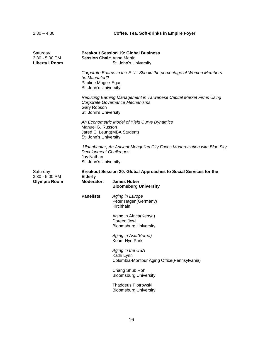## 2:30 – 4:30 **Coffee, Tea, Soft-drinks in Empire Foyer**

| Saturday<br>3:30 - 5:00 PM<br><b>Liberty I Room</b> | <b>Breakout Session 19: Global Business</b><br><b>Session Chair: Anna Martin</b><br>St. John's University                                        |                                                                               |  |
|-----------------------------------------------------|--------------------------------------------------------------------------------------------------------------------------------------------------|-------------------------------------------------------------------------------|--|
|                                                     | Corporate Boards in the E.U.: Should the percentage of Women Members<br>be Mandated?<br>Pauline Magee-Egan<br>St. John's University              |                                                                               |  |
|                                                     | Reducing Earning Management in Taiwanese Capital Market Firms Using<br>Corporate Governance Mechanisms<br>Gary Robson<br>St. John's University   |                                                                               |  |
|                                                     | An Econometric Model of Yield Curve Dynamics<br>Manuel G. Russon<br>Jared C. Leung(MBA Student)<br>St. John's University                         |                                                                               |  |
|                                                     | Ulaanbaatar, An Ancient Mongolian City Faces Modernization with Blue Sky<br><b>Development Challenges</b><br>Jay Nathan<br>St. John's University |                                                                               |  |
| Saturday<br>3:30 - 5:00 PM                          | Breakout Session 20: Global Approaches to Social Services for the<br><b>Elderly</b>                                                              |                                                                               |  |
| Olympia Room                                        | Moderator:                                                                                                                                       | <b>James Huber</b><br><b>Bloomsburg University</b>                            |  |
|                                                     | <b>Panelists:</b>                                                                                                                                | <b>Aging in Europe</b><br>Peter Hagen(Germany)<br>Kirchhain                   |  |
|                                                     |                                                                                                                                                  | Aging in Africa (Kenya)<br>Doreen Jowi<br><b>Bloomsburg University</b>        |  |
|                                                     |                                                                                                                                                  | Aging in Asia(Korea)<br>Keum Hye Park                                         |  |
|                                                     |                                                                                                                                                  | Aging in the USA<br>Kathi Lynn<br>Columbia-Montour Aging Office(Pennsylvania) |  |
|                                                     |                                                                                                                                                  | Chang Shub Roh<br><b>Bloomsburg University</b>                                |  |
|                                                     |                                                                                                                                                  | <b>Thaddeus Piotrowski</b><br><b>Bloomsburg University</b>                    |  |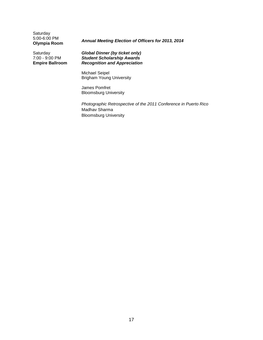**Saturday** 5:00-6:00 PM<br>**Olympia Room** 

## **Olympia Room** *Annual Meeting Election of Officers for 2013, 2014*

Saturday 7:00 - 9:00 PM **Empire Ballroom** *Global Dinner (by ticket only) Student Scholarship Awards Recognition and Appreciation*

Michael Seipel Brigham Young University

James Pomfret Bloomsburg University

*Photographic Retrospective of the 2011 Conference in Puerto Rico* Madhav Sharma Bloomsburg University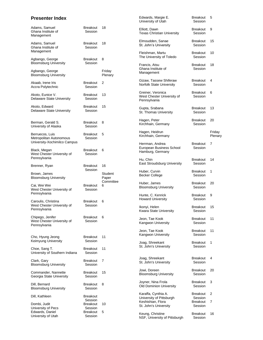## **Presenter Index**

|                                                                            |                                 |                  | University of Utah                                                   | Session                         |                   |
|----------------------------------------------------------------------------|---------------------------------|------------------|----------------------------------------------------------------------|---------------------------------|-------------------|
| Adams, Samuel<br>Ghana Institute of<br>Management                          | Breakout<br>Session             | 18               | Elliott, Dawn<br><b>Texas Christian University</b>                   | <b>Breakout</b><br>Session      | 9                 |
| Adams, Samuel<br>Ghana Institute of                                        | <b>Breakout</b><br>Session      | 18               | Elmoudden, Sanae<br>St. John's University                            | <b>Breakout</b><br>Session      | 15                |
| Management<br>Agbango, George                                              | Breakout                        | 8                | Fleishman, Martu<br>The University of Toledo                         | <b>Breakout</b><br>Session      | 10                |
| <b>Bloomsburg University</b><br>Agbango, George                            | Session                         | Friday           | Francis, Atsu<br>Ghana Institute of<br>Management                    | Breakout<br>Session             | 18                |
| <b>Bloomsburg University</b><br>Akaab, Irene Iris<br>Accra Polytechnic     | <b>Breakout</b><br>Session      | Plenary<br>2     | Gizaw, Tassew Shiferaw<br>Norfolk State University                   | Breakout<br>Session             | 4                 |
| Akoto, Eunice V.<br>Delaware State University                              | Breakout<br>Session             | 13               | Greiner, Veronica<br>West Chester University of<br>Pennsylvania      | <b>Breakout</b><br>Session      | 6                 |
| Akoto, Edward<br><b>Delaware State University</b>                          | Breakout<br>Session             | 15               | Gupta, Srabana<br>St. Thomas University                              | <b>Breakout</b><br>Session      | 13                |
| Berman, Gerald S.<br>University of Alaska                                  | Breakout<br>Session             | 8                | Hagen, Peter<br>Kirchhain, Germany                                   | <b>Breakout</b><br>Session      | 20                |
| Berruecos, Luis<br>Metropolitan Autonomous                                 | Breakout<br>Session             | 5                | Hagen, Heidrun<br>Kirchhain, Germany                                 |                                 | Friday<br>Plenary |
| University-Xochimilco Campus<br>Black, Megan<br>West Chester University of | <b>Breakout</b><br>Session      | 6                | Herrman, Andrea<br>European Business School<br>Hamburg, Germany      | <b>Breakout</b><br>Session      | 7                 |
| Pennsylvania<br>Brenner, Ryan                                              | <b>Breakout</b>                 | 16               | Hu, Chin<br>East Stroudsburg University                              | Breakout<br>Session             | 14                |
| Brown, James<br><b>Bloomsburg University</b>                               | Session                         | Student<br>Paper | Huber, Curvin<br><b>Becker College</b>                               | <b>Breakout</b><br>Session      | 1                 |
| Cai, Wei Wei<br>West Chester University of                                 | <b>Breakout</b><br>Session      | Committee<br>6   | Huber, James<br><b>Bloomsburg University</b>                         | Breakout<br>Session             | 20                |
| Pennsylvania<br>Caroulis, Christina                                        | <b>Breakout</b>                 | 6                | Hunte, C. Kenrick<br><b>Howard University</b>                        | Breakout<br>Session             | 9                 |
| West Chester University of<br>Pennsylvania                                 | Session                         |                  | Ikonyi, Helen<br>Kwara State University                              | <b>Breakout</b><br>Session      | 15                |
| Chipego, Jenifer<br>West Chester University of<br>Pennsylvania             | Breakout<br>Session             | 6                | Jeon, Tae Kook<br>Kangwon University                                 | <b>Breakout</b><br>Session      | 11                |
| Cho, Hyung Jeong                                                           | Breakout                        | 11               | Jeon, Tae Kook<br>Kangwon University                                 | <b>Breakout</b><br>Session      | 11                |
| Keimyung University<br>Choe, Sang T.                                       | Session<br>Breakout             | 11               | Joag, Shreekant<br>St. John's University                             | Breakout<br>Session             | 1                 |
| University of Southern Indiana<br>Clark, Gary                              | Session<br>Breakout             | 7                | Joag, Shreekant                                                      | <b>Breakout</b>                 | 4                 |
| <b>Bloomsburg University</b>                                               | Session                         |                  | St. John's University<br>Jowi, Doreen                                | Session<br><b>Breakout</b>      | 20                |
| Commander, Nannette<br>Georgia State University                            | Breakout<br>Session             | 15               | <b>Bloomsburg University</b><br>Joyner, Nina Frola                   | Session<br>Breakout             | 3                 |
| Dill, Bernard<br><b>Bloomsburg University</b>                              | Breakout<br>Session             | 8                | <b>Old Dominion University</b>                                       | Session                         |                   |
| Dill, Kathleen<br>Dombi, Judit                                             | Breakout<br>Session<br>Breakout | 10               | Karaffa, Cynthia A.<br>University of Pittsburgh<br>Keshishian, Flora | Breakout<br>Session<br>Breakout | 2<br>7            |
| University of Pecs<br>Edwards, Daniel                                      | Session<br>Breakout             | 5                | St. John's University<br>Keung, Christine                            | Session<br><b>Breakout</b>      | 16                |
| University of Utah                                                         | Session                         |                  | NSF, University of Pittsburgh                                        | Session                         |                   |

Edwards, Margie E.

Breakout 5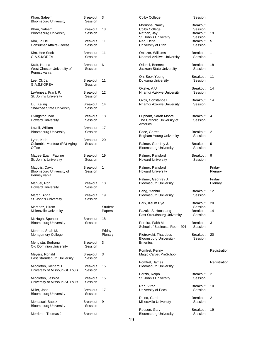| Khan, Saleem<br><b>Bloomsburg University</b>               | <b>Breakout</b><br>Session | 3                 | Colby College                                                                         | Session                                           |                   |
|------------------------------------------------------------|----------------------------|-------------------|---------------------------------------------------------------------------------------|---------------------------------------------------|-------------------|
| Khan, Saleem<br><b>Bloomsburg University</b>               | <b>Breakout</b><br>Session | 13                | Morrione, Nancy<br>Colby College<br>Nathan, Jay<br>St. John's University              | <b>Breakout</b><br>Session<br>Breakout<br>Session | 19                |
| Kim, Ja Hei<br><b>Consumer Affairs-Koreas</b>              | <b>Breakout</b><br>Session | 11                | Ned, Dena<br>University of Utah                                                       | Breakout<br>Session                               | 5                 |
| Kim, Hee Sook<br>G.A.S.KOREA                               | <b>Breakout</b><br>Session | 11                | Obiozor, Williams<br>Nnamdi Azikiwe University                                        | Breakout<br>Session                               | 1                 |
| Kraft, Hanna<br>West Chester University of<br>Pennsylvania | Breakout<br>Session        | 6                 | Odunsi, Bennett<br>Jackson State University                                           | Breakout<br>Session                               | 18                |
| Lee, Ok Ja<br>G.A.S.KOREA                                  | <b>Breakout</b><br>Session | 11                | Oh, Sook Young<br>Duksung University                                                  | Breakout<br>Session                               | 11                |
| LeVeness, Frank P.<br>St. John's University                | Breakout<br>Session        | 12                | Okeke, A.U.<br>Nnamdi Azikiwe University                                              | Breakout<br>Session                               | 14                |
| Liu, Kejing<br>Shawnee State University                    | <b>Breakout</b><br>Session | 14                | Okoli, Constance I.<br>Nnamdi Azikiwe University                                      | Breakout<br>Session                               | 14                |
| Livingston, Ivor<br><b>Howard University</b>               | <b>Breakout</b><br>Session | 18                | Oliphant, Sarah Moore<br>The Catholic University of<br>America                        | Breakout<br>Session                               | 4                 |
| Lovell, William<br><b>Bloomsburg University</b>            | <b>Breakout</b><br>Session | 17                | Pace, Garret<br><b>Brigham Young University</b>                                       | Breakout<br>Session                               | 2                 |
| Lynn, Kathi<br>Columbia-Montour (PA) Aging<br>Office       | <b>Breakout</b><br>Session | 20                | Palmer, Geoffrey J.<br><b>Bloomsburg University</b>                                   | Breakout<br>Session                               | 9                 |
| Magee-Egan, Pauline<br>St. John's University               | <b>Breakout</b><br>Session | 19                | Palmer, Ransford<br><b>Howard University</b>                                          | <b>Breakout</b><br>Session                        | 9                 |
| Magolis, David<br>Bloomsburg University of<br>Pennsylvania | Breakout<br>Session        | 1                 | Palmer, Ransford<br><b>Howard University</b>                                          |                                                   | Friday<br>Plenary |
| Manuel, Ron<br><b>Howard University</b>                    | <b>Breakout</b><br>Session | 18                | Palmer, Geoffrey J.<br><b>Bloomsburg University</b>                                   |                                                   | Friday<br>Plenary |
| Martin, Anna<br>St. John's University                      | <b>Breakout</b><br>Session | 19                | Pang, Yanhui<br><b>Bloomsburg University</b>                                          | <b>Breakout</b><br>Session                        | 12                |
| Martinez, Hiram<br><b>Millersville University</b>          |                            | Student<br>Papers | Park, Keum Hye<br>Pazaki, S. Hooshang                                                 | <b>Breakout</b><br>Session<br><b>Breakout</b>     | 20<br>14          |
| McHugh, Spencer<br><b>Bloomsburg University</b>            | <b>Breakout</b><br>Session | 18                | East Stroudsburg University<br>Pereira, Faith M                                       | Session<br>Breakout                               | 3                 |
| Mehrabi, Shah M.<br><b>Montgomery College</b>              |                            | Friday<br>Plenary | School of Business, Room 404<br>Piotrowski, Thaddeus<br><b>Bloomsburg University-</b> | Session<br>Breakout<br>Session                    | 20                |
| Mengistu, Berhanu<br><b>Old Dominion University</b>        | <b>Breakout</b><br>Session | 3                 | Emeritus                                                                              |                                                   |                   |
| Meyers, Ronald<br>East Stroudsburg University              | Breakout<br>Session        | 3                 | Pomfret, Penny<br>Magic Carpet PreSchool                                              |                                                   | Registration      |
| Middleton, Richard T.<br>University of Missouri-St. Louis  | <b>Breakout</b><br>Session | 15                | Pomfret, James<br><b>Bloomsburg University</b>                                        |                                                   | Registration      |
| Middleton, Jessica<br>University of Missouri-St. Louis     | Breakout<br>Session        | 15                | Porzio, Ralph J.<br>St. John's University                                             | Breakout<br>Session                               | 2                 |
| Miller, Joan<br><b>Bloomsburg University</b>               | <b>Breakout</b><br>Session | 17                | Rab, Virag<br>University of Pecs                                                      | <b>Breakout</b><br>Session                        | 10                |
| Mohassel, Babak<br><b>Bloomsburg University</b>            | <b>Breakout</b><br>Session | 9                 | Reina, Carol<br>Millersville University                                               | Breakout<br>Session                               | 2                 |
| Morrione, Thomas J.                                        | <b>Breakout</b>            |                   | Robson, Gary<br><b>Bloomsburg University</b>                                          | <b>Breakout</b><br>Session                        | 19                |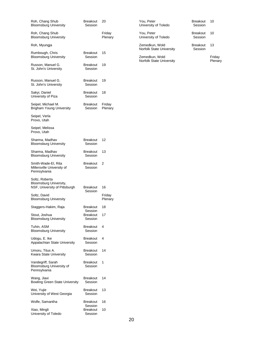| Roh, Chang Shub<br>Bloomsburg University                                  | <b>Breakout</b><br>Session            | 20                |
|---------------------------------------------------------------------------|---------------------------------------|-------------------|
| Roh, Chang Shub<br><b>Bloomsburg University</b>                           |                                       | Friday<br>Plenary |
| Roh, Myungja                                                              |                                       |                   |
| Rumbough, Chris<br><b>Bloomsburg University</b>                           | <b>Breakout</b><br>Session            | 15                |
| Russon, Manuel G.<br>St. John's University                                | <b>Breakout</b><br>Session            | 19                |
| Russon, Manuel G.<br>St. John's University                                | <b>Breakout</b><br>Session            | 19                |
| Sakyi, Daniel<br>University of Piza                                       | <b>Breakout</b><br>Session            | 18                |
| Seipel, Michael M.<br><b>Brigham Young University</b>                     | Breakout<br>Session                   | Friday<br>Plenary |
| Seipel, Verla<br>Provo, Utah                                              |                                       |                   |
| Seipel, Melissa<br>Provo, Utah                                            |                                       |                   |
| Sharma, Madhav<br>Bloomsburg University                                   | <b>Breakout</b><br>Session            | 12                |
| Sharma, Madhav<br><b>Bloomsburg University</b>                            | <b>Breakout</b><br>Session            | 13                |
| Smith-Wade-El, Rita<br>Millersville University of<br>Pennsylvania         | <b>Breakout</b><br>Session            | 2                 |
| Soltz, Roberta<br>Bloomsburg University,<br>NSF, University of Pittsburgh | <b>Breakout</b>                       | 16                |
| Soltz, David<br><b>Bloomsburg University</b>                              | Session                               | Friday<br>Plenary |
| Staggers-Hakim, Raja                                                      | <b>Breakout</b>                       | 18                |
| Stout, Joshua<br><b>Bloomsburg University</b>                             | Session<br><b>Breakout</b><br>Session | 17                |
| Tuhin, ASM<br><b>Bloomsburg University</b>                                | <b>Breakout</b><br>Session            | 4                 |
| Udogu, E. Ike<br>Appalachian State University                             | <b>Breakout</b><br>Session            | 4                 |
| Umoru, Titus A.<br>Kwara State University                                 | <b>Breakout</b><br>Session            | 14                |
| Vandegriff, Sarah<br>Bloomsburg University of<br>Pennsylvania             | <b>Breakout</b><br>Session            | 1                 |
| Wang, Jiaxi<br><b>Bowling Green State University</b>                      | Breakout<br>Session                   | 14                |
| Wei, Yujie<br>University of West Georgia                                  | <b>Breakout</b><br>Session            | 13                |
| Wolfe, Samantha                                                           | Breakout                              | 16                |
| Xiao, Mingli<br>University of Toledo                                      | Session<br><b>Breakout</b><br>Session | 10                |

| You. Peter           | <b>Breakout</b> |
|----------------------|-----------------|
| University of Toledo | Session         |
| You. Peter           | <b>Breakout</b> |
| University of Toledo | Session         |

Zemedkun, Wold Norfolk State University

Zemedkun, Wold Norfolk State University Breakout Session 13

10

10

Friday Plenary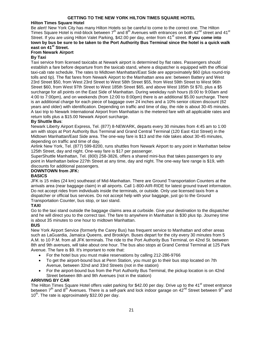## **GETTING TO THE NEW YORK HILTON TIMES SQUARE HOTEL**

## **Hilton Times Square Hotel**

Be alert! New York City has many Hilton Hotels so be careful to come to the correct one. The Hilton Times Square Hotel is mid-block between  $7<sup>th</sup>$  and  $8<sup>th</sup>$  Avenues with entrances on both  $42<sup>nd</sup>$  street and  $41<sup>st</sup>$ Street. If you are using Hilton Valet Parking, \$42.00 per day, enter from 41<sup>st</sup> street. If you come into **town by bus be sure to be taken to the Port Authority Bus Terminal since the hotel is a quick walk east on 41st Street.**

## **From Newark Airport**

## **By Taxi**

Taxi service from licensed taxicabs at Newark airport is determined by flat rates. Passengers should establish a fare before departure from the taxicab stand, where a dispatcher is equipped with the official taxi-cab rate schedule. The rates to Midtown Manhattan/East Side are approximately \$60 (plus round-trip tolls and tip). The flat fares from Newark Airport to the Manhattan area are: between Battery and West 23rd Street \$50, from West 23rd Street to West 58th Street \$55, from West 59th Street to West 96th Street \$60, from West 97th Street to West 185th Street \$65, and above West 185th St \$70, plus a \$5 surcharge for all points on the East Side of Manhattan. During weekday rush hours (6:00 to 9:00am and 4:00 to 7:00pm), and on weekends (from 12:00 to 8:00pm) there is an additional \$5.00 surcharge. There is an additional charge for each piece of baggage over 24 inches and a 10% senior citizen discount (62 years and older) with identification. Depending on traffic and time of day, the ride is about 30-45 minutes. A taxi trip to Newark International Airport from Manhattan is the metered fare with all applicable rates and return tolls plus a \$15.00 Newark Airport surcharge.

## **By Shuttle Bus**:

Newark Liberty Airport Express, Tel. (877) 8-NEWARK, departs every 30 minutes from 4:45 am to 1:00 am with stops at Port Authority Bus Terminal and Grand Central Terminal (120 East 41st Street) in the Midtown Manhattan/East Side area. The one-way fare is \$13 and the ride takes about 30-45 minutes, depending on traffic and time of day.

Airlink New York, Tel. (877) 599-8200, runs shuttles from Newark Airport to any point in Manhattan below 125th Street, day and night. One-way fare is \$17 per passenger.

SuperShuttle Manhattan, Tel. (800) 258-3826, offers a shared mini-bus that takes passengers to any point in Manhattan below 227th Street at any time, day and night. The one-way fare range is \$19, with discounts for additional passengers.

## **DOWNTOWN from JFK:**

#### **BASICS**

JFK is 15 miles (24 km) southeast of Mid-Manhattan. There are Ground Transportation Counters at the arrivals area (near baggage claim) in all airports. Call 1-800-AIR-RIDE for latest ground travel information. Do not accept rides from individuals inside the terminals, or outside. Only use licensed taxis from a dispatcher or official bus services. Do not accept help with your baggage, just go to the Ground Transportation Counter, bus stop, or taxi stand.

## **TAXI**

Go to the taxi stand outside the baggage claims area at curbside. Give your destination to the dispatcher and he will direct you to the correct taxi. The fare to anywhere in Manhattan is \$30 plus tip. Journey time is about 35 minutes to one hour to midtown Manhattan.

## **BUS**

New York Airport Service (formerly the Carey Bus) has frequent service to Manhattan and other areas such as LaGuardia, Jamaica Queens, and Brooklyn. Buses depart for the city every 30 minutes from 5 A.M. to 10 P.M. from all JFK terminals. The ride to the Port Authority Bus Terminal, on 42nd St. between 8th and 9th avenues, will take about one hour. The bus also stops at Grand Central Terminal at 125 Park Avenue. The fare is \$9. It's important to note that:

- For the hotel bus you must make reservations by calling 212-286-9766
- To get the airport-bound bus at Penn Station, you must go to their bus stop located on 7th Avenue, between 32nd and 33rd Streets (not in the station)
- For the airport-bound bus from the Port Authority Bus Terminal, the pickup location is on 42nd Street between 8th and 9th Avenues (not in the station)

## **ARRIVING BY CAR**

The Hilton Times Square Hotel offers valet parking for \$42.00 per day. Drive up to the 41<sup>st</sup> street entrance between  $7<sup>th</sup>$  and  $8<sup>th</sup>$  Avenues. There is a self-park and lock indoor garage on 42<sup>nd</sup> Street between  $9<sup>th</sup>$  and  $10^{th}$ . The rate is approximately \$32.00 per day.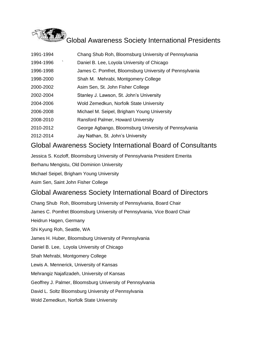

| 1994-1996<br>Daniel B. Lee, Loyola University of Chicago<br>James C. Pomfret, Bloomsburg University of Pennsylvania<br>1996-1998 |  |
|----------------------------------------------------------------------------------------------------------------------------------|--|
|                                                                                                                                  |  |
|                                                                                                                                  |  |
| 1998-2000<br>Shah M. Mehrabi, Montgomery College                                                                                 |  |
| 2000-2002<br>Asim Sen, St. John Fisher College                                                                                   |  |
| 2002-2004<br>Stanley J. Lawson, St. John's University                                                                            |  |
| 2004-2006<br>Wold Zemedkun, Norfolk State University                                                                             |  |
| 2006-2008<br>Michael M. Seipel, Brigham Young University                                                                         |  |
| 2008-2010<br>Ransford Palmer, Howard University                                                                                  |  |
| 2010-2012<br>George Agbango, Bloomsburg University of Pennsylvania                                                               |  |
| 2012-2014<br>Jay Nathan, St. John's University                                                                                   |  |

## Global Awareness Society International Board of Consultants

Jessica S. Kozloff, Bloomsburg University of Pennsylvania President Emerita

Berhanu Mengistu, Old Dominion University

Michael Seipel, Brigham Young University

Asim Sen, Saint John Fisher College

## Global Awareness Society International Board of Directors

Chang Shub Roh, Bloomsburg University of Pennsylvania, Board Chair James C. Pomfret Bloomsburg University of Pennsylvania, Vice Board Chair Heidrun Hagen, Germany Shi Kyung Roh, Seattle, WA James H. Huber, Bloomsburg University of Pennsylvania Daniel B. Lee, Loyola University of Chicago Shah Mehrabi, Montgomery College Lewis A. Mennerick, University of Kansas Mehrangiz Najafizadeh, University of Kansas Geoffrey J. Palmer, Bloomsburg University of Pennsylvania David L. Soltz Bloomsburg University of Pennsylvania Wold Zemedkun, Norfolk State University